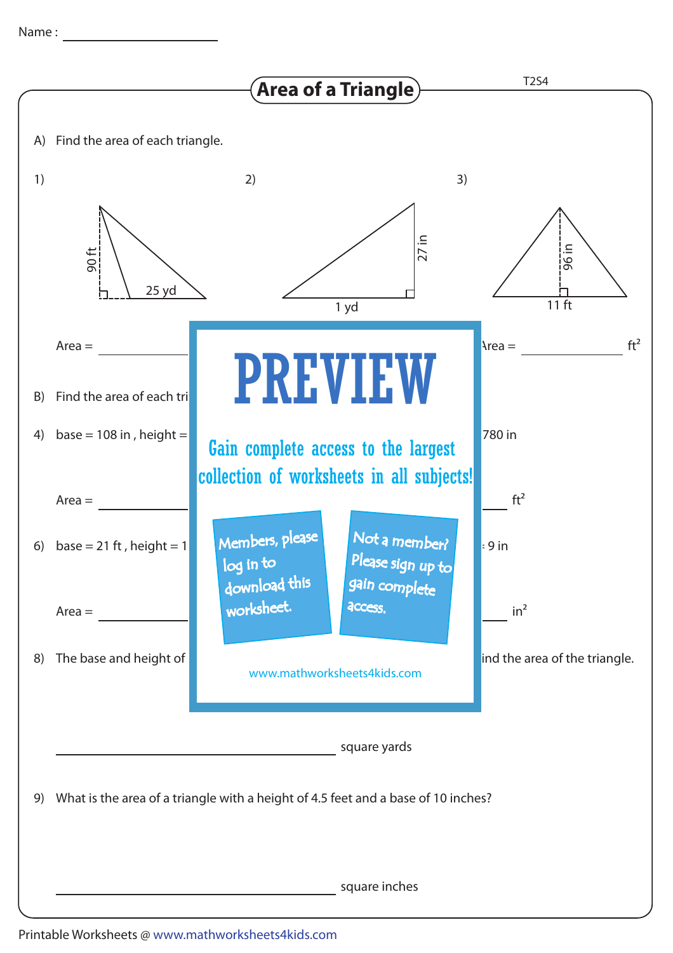